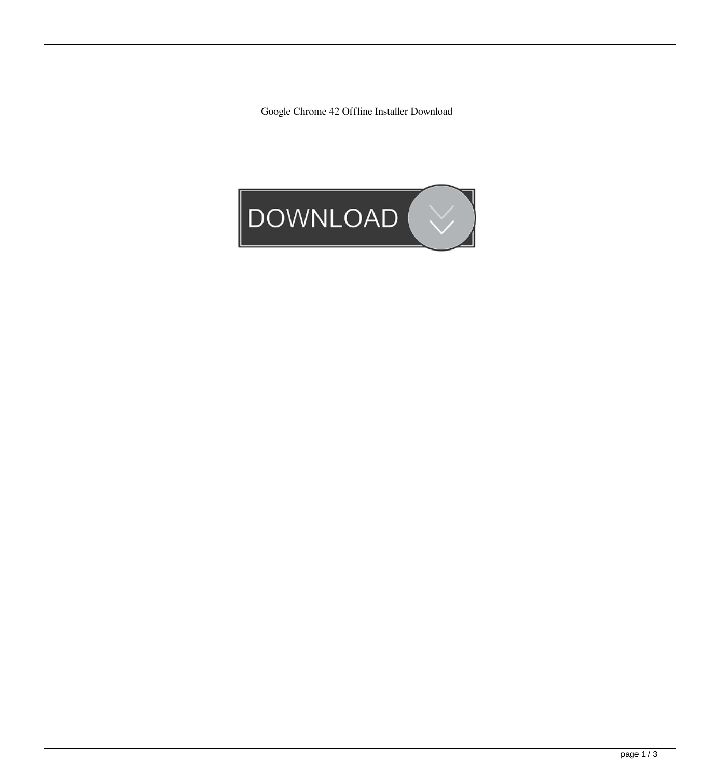Google Chrome 42 Offline Installer Download

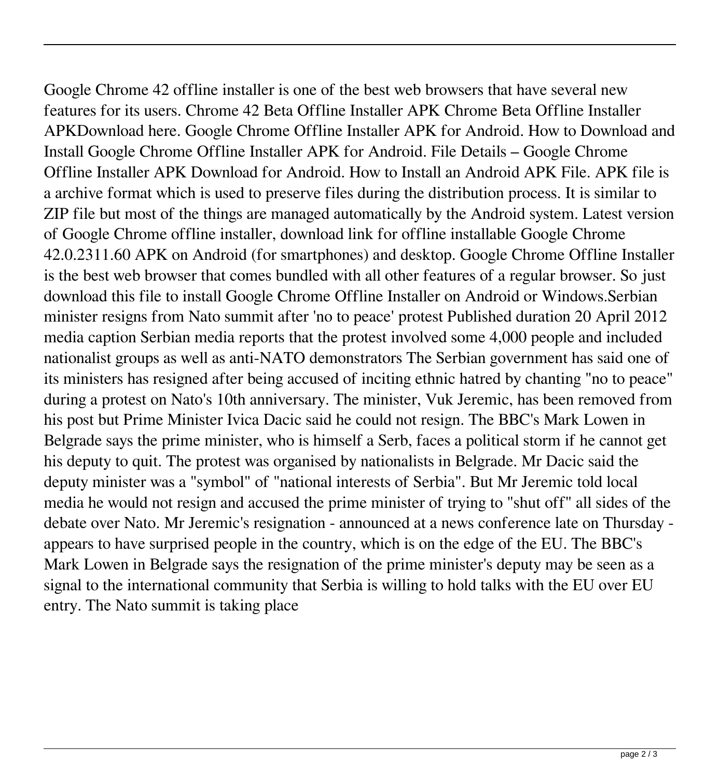Google Chrome 42 offline installer is one of the best web browsers that have several new features for its users. Chrome 42 Beta Offline Installer APK Chrome Beta Offline Installer APKDownload here. Google Chrome Offline Installer APK for Android. How to Download and Install Google Chrome Offline Installer APK for Android. File Details – Google Chrome Offline Installer APK Download for Android. How to Install an Android APK File. APK file is a archive format which is used to preserve files during the distribution process. It is similar to ZIP file but most of the things are managed automatically by the Android system. Latest version of Google Chrome offline installer, download link for offline installable Google Chrome 42.0.2311.60 APK on Android (for smartphones) and desktop. Google Chrome Offline Installer is the best web browser that comes bundled with all other features of a regular browser. So just download this file to install Google Chrome Offline Installer on Android or Windows.Serbian minister resigns from Nato summit after 'no to peace' protest Published duration 20 April 2012 media caption Serbian media reports that the protest involved some 4,000 people and included nationalist groups as well as anti-NATO demonstrators The Serbian government has said one of its ministers has resigned after being accused of inciting ethnic hatred by chanting "no to peace" during a protest on Nato's 10th anniversary. The minister, Vuk Jeremic, has been removed from his post but Prime Minister Ivica Dacic said he could not resign. The BBC's Mark Lowen in Belgrade says the prime minister, who is himself a Serb, faces a political storm if he cannot get his deputy to quit. The protest was organised by nationalists in Belgrade. Mr Dacic said the deputy minister was a "symbol" of "national interests of Serbia". But Mr Jeremic told local media he would not resign and accused the prime minister of trying to "shut off" all sides of the debate over Nato. Mr Jeremic's resignation - announced at a news conference late on Thursday appears to have surprised people in the country, which is on the edge of the EU. The BBC's Mark Lowen in Belgrade says the resignation of the prime minister's deputy may be seen as a signal to the international community that Serbia is willing to hold talks with the EU over EU entry. The Nato summit is taking place